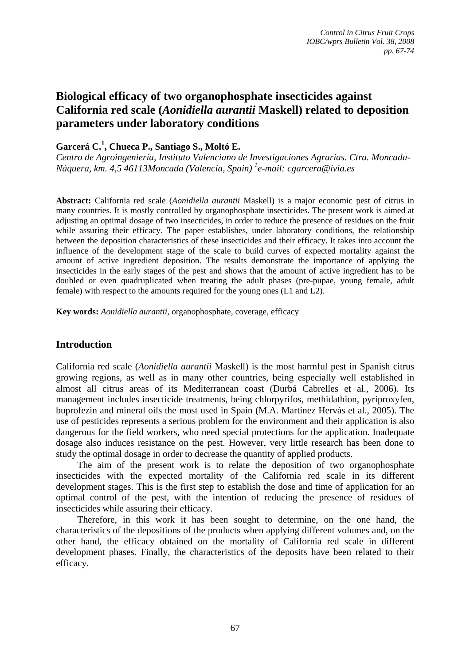# **Biological efficacy of two organophosphate insecticides against California red scale (***Aonidiella aurantii* **Maskell) related to deposition parameters under laboratory conditions**

## **Garcerá C.<sup>1</sup> , Chueca P., Santiago S., Moltó E.**

*Centro de Agroingeniería, Instituto Valenciano de Investigaciones Agrarias. Ctra. Moncada-Náquera, km. 4,5 46113Moncada (Valencia, Spain) 1 e-mail: cgarcera@ivia.es* 

**Abstract:** California red scale (*Aonidiella aurantii* Maskell) is a major economic pest of citrus in many countries. It is mostly controlled by organophosphate insecticides. The present work is aimed at adjusting an optimal dosage of two insecticides, in order to reduce the presence of residues on the fruit while assuring their efficacy. The paper establishes, under laboratory conditions, the relationship between the deposition characteristics of these insecticides and their efficacy. It takes into account the influence of the development stage of the scale to build curves of expected mortality against the amount of active ingredient deposition. The results demonstrate the importance of applying the insecticides in the early stages of the pest and shows that the amount of active ingredient has to be doubled or even quadruplicated when treating the adult phases (pre-pupae, young female, adult female) with respect to the amounts required for the young ones (L1 and L2).

**Key words:** *Aonidiella aurantii*, organophosphate, coverage, efficacy

## **Introduction**

California red scale (*Aonidiella aurantii* Maskell) is the most harmful pest in Spanish citrus growing regions, as well as in many other countries, being especially well established in almost all citrus areas of its Mediterranean coast (Durbá Cabrelles et al., 2006). Its management includes insecticide treatments, being chlorpyrifos, methidathion, pyriproxyfen, buprofezin and mineral oils the most used in Spain (M.A. Martínez Hervás et al., 2005). The use of pesticides represents a serious problem for the environment and their application is also dangerous for the field workers, who need special protections for the application. Inadequate dosage also induces resistance on the pest. However, very little research has been done to study the optimal dosage in order to decrease the quantity of applied products.

The aim of the present work is to relate the deposition of two organophosphate insecticides with the expected mortality of the California red scale in its different development stages. This is the first step to establish the dose and time of application for an optimal control of the pest, with the intention of reducing the presence of residues of insecticides while assuring their efficacy.

Therefore, in this work it has been sought to determine, on the one hand, the characteristics of the depositions of the products when applying different volumes and, on the other hand, the efficacy obtained on the mortality of California red scale in different development phases. Finally, the characteristics of the deposits have been related to their efficacy.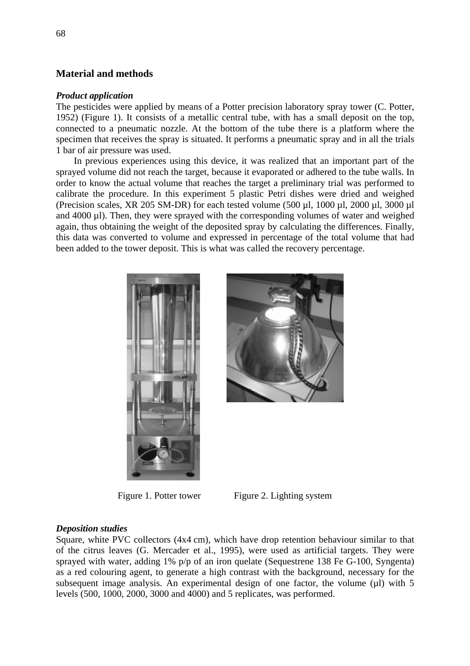## **Material and methods**

#### *Product application*

The pesticides were applied by means of a Potter precision laboratory spray tower (C. Potter, 1952) (Figure 1). It consists of a metallic central tube, with has a small deposit on the top, connected to a pneumatic nozzle. At the bottom of the tube there is a platform where the specimen that receives the spray is situated. It performs a pneumatic spray and in all the trials 1 bar of air pressure was used.

In previous experiences using this device, it was realized that an important part of the sprayed volume did not reach the target, because it evaporated or adhered to the tube walls. In order to know the actual volume that reaches the target a preliminary trial was performed to calibrate the procedure. In this experiment 5 plastic Petri dishes were dried and weighed (Precision scales, XR 205 SM-DR) for each tested volume (500  $\mu$ l, 1000  $\mu$ l, 2000  $\mu$ l, 3000  $\mu$ l and 4000 µl). Then, they were sprayed with the corresponding volumes of water and weighed again, thus obtaining the weight of the deposited spray by calculating the differences. Finally, this data was converted to volume and expressed in percentage of the total volume that had been added to the tower deposit. This is what was called the recovery percentage.





Figure 1. Potter tower Figure 2. Lighting system

### *Deposition studies*

Square, white PVC collectors (4x4 cm), which have drop retention behaviour similar to that of the citrus leaves (G. Mercader et al., 1995), were used as artificial targets. They were sprayed with water, adding 1% p/p of an iron quelate (Sequestrene 138 Fe G-100, Syngenta) as a red colouring agent, to generate a high contrast with the background, necessary for the subsequent image analysis. An experimental design of one factor, the volume  $(\mu I)$  with 5 levels (500, 1000, 2000, 3000 and 4000) and 5 replicates, was performed.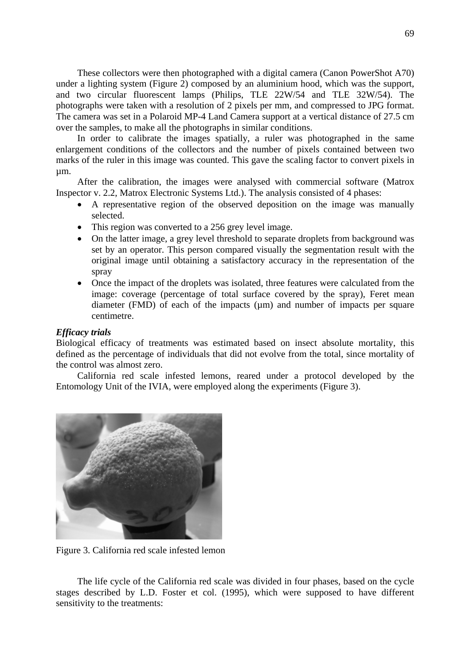These collectors were then photographed with a digital camera (Canon PowerShot A70) under a lighting system (Figure 2) composed by an aluminium hood, which was the support, and two circular fluorescent lamps (Philips, TLE 22W/54 and TLE 32W/54). The photographs were taken with a resolution of 2 pixels per mm, and compressed to JPG format. The camera was set in a Polaroid MP-4 Land Camera support at a vertical distance of 27.5 cm over the samples, to make all the photographs in similar conditions.

In order to calibrate the images spatially, a ruler was photographed in the same enlargement conditions of the collectors and the number of pixels contained between two marks of the ruler in this image was counted. This gave the scaling factor to convert pixels in µm.

After the calibration, the images were analysed with commercial software (Matrox Inspector v. 2.2, Matrox Electronic Systems Ltd.). The analysis consisted of 4 phases:

- A representative region of the observed deposition on the image was manually selected.
- This region was converted to a 256 grey level image.
- On the latter image, a grey level threshold to separate droplets from background was set by an operator. This person compared visually the segmentation result with the original image until obtaining a satisfactory accuracy in the representation of the spray
- Once the impact of the droplets was isolated, three features were calculated from the image: coverage (percentage of total surface covered by the spray), Feret mean diameter (FMD) of each of the impacts  $(\mu m)$  and number of impacts per square centimetre.

#### *Efficacy trials*

Biological efficacy of treatments was estimated based on insect absolute mortality, this defined as the percentage of individuals that did not evolve from the total, since mortality of the control was almost zero.

California red scale infested lemons, reared under a protocol developed by the Entomology Unit of the IVIA, were employed along the experiments (Figure 3).



Figure 3. California red scale infested lemon

The life cycle of the California red scale was divided in four phases, based on the cycle stages described by L.D. Foster et col. (1995), which were supposed to have different sensitivity to the treatments: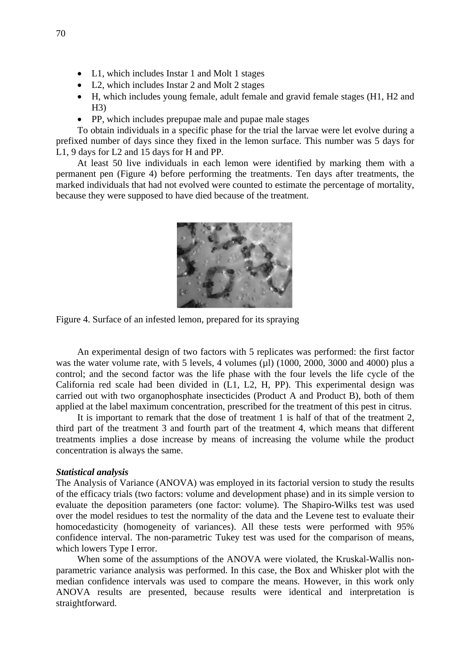- L1, which includes Instar 1 and Molt 1 stages
- L2, which includes Instar 2 and Molt 2 stages
- H, which includes young female, adult female and gravid female stages (H1, H2 and  $H3)$
- PP, which includes prepupae male and pupae male stages

To obtain individuals in a specific phase for the trial the larvae were let evolve during a prefixed number of days since they fixed in the lemon surface. This number was 5 days for L1, 9 days for L2 and 15 days for H and PP.

At least 50 live individuals in each lemon were identified by marking them with a permanent pen (Figure 4) before performing the treatments. Ten days after treatments, the marked individuals that had not evolved were counted to estimate the percentage of mortality, because they were supposed to have died because of the treatment.



Figure 4. Surface of an infested lemon, prepared for its spraying

An experimental design of two factors with 5 replicates was performed: the first factor was the water volume rate, with 5 levels, 4 volumes ( $\mu$ l) (1000, 2000, 3000 and 4000) plus a control; and the second factor was the life phase with the four levels the life cycle of the California red scale had been divided in (L1, L2, H, PP). This experimental design was carried out with two organophosphate insecticides (Product A and Product B), both of them applied at the label maximum concentration, prescribed for the treatment of this pest in citrus.

It is important to remark that the dose of treatment 1 is half of that of the treatment 2, third part of the treatment 3 and fourth part of the treatment 4, which means that different treatments implies a dose increase by means of increasing the volume while the product concentration is always the same.

#### *Statistical analysis*

The Analysis of Variance (ANOVA) was employed in its factorial version to study the results of the efficacy trials (two factors: volume and development phase) and in its simple version to evaluate the deposition parameters (one factor: volume). The Shapiro-Wilks test was used over the model residues to test the normality of the data and the Levene test to evaluate their homocedasticity (homogeneity of variances). All these tests were performed with 95% confidence interval. The non-parametric Tukey test was used for the comparison of means, which lowers Type I error.

When some of the assumptions of the ANOVA were violated, the Kruskal-Wallis nonparametric variance analysis was performed. In this case, the Box and Whisker plot with the median confidence intervals was used to compare the means. However, in this work only ANOVA results are presented, because results were identical and interpretation is straightforward.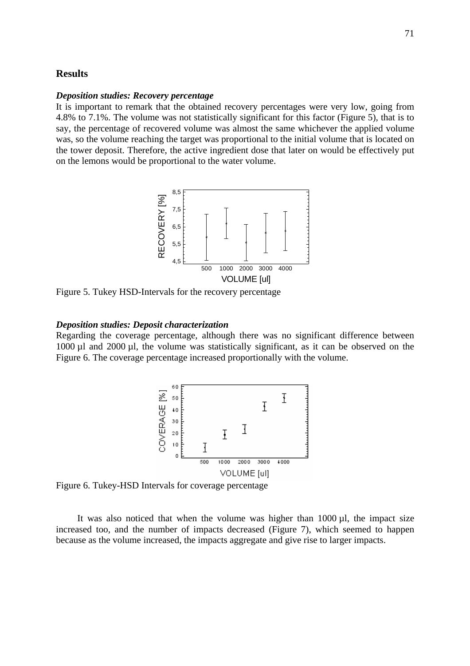## **Results**

#### *Deposition studies: Recovery percentage*

It is important to remark that the obtained recovery percentages were very low, going from 4.8% to 7.1%. The volume was not statistically significant for this factor (Figure 5), that is to say, the percentage of recovered volume was almost the same whichever the applied volume was, so the volume reaching the target was proportional to the initial volume that is located on the tower deposit. Therefore, the active ingredient dose that later on would be effectively put on the lemons would be proportional to the water volume.



Figure 5. Tukey HSD-Intervals for the recovery percentage

#### *Deposition studies: Deposit characterization*

Regarding the coverage percentage, although there was no significant difference between 1000 µl and 2000 µl, the volume was statistically significant, as it can be observed on the Figure 6. The coverage percentage increased proportionally with the volume.



Figure 6. Tukey-HSD Intervals for coverage percentage

It was also noticed that when the volume was higher than  $1000 \mu l$ , the impact size increased too, and the number of impacts decreased (Figure 7), which seemed to happen because as the volume increased, the impacts aggregate and give rise to larger impacts.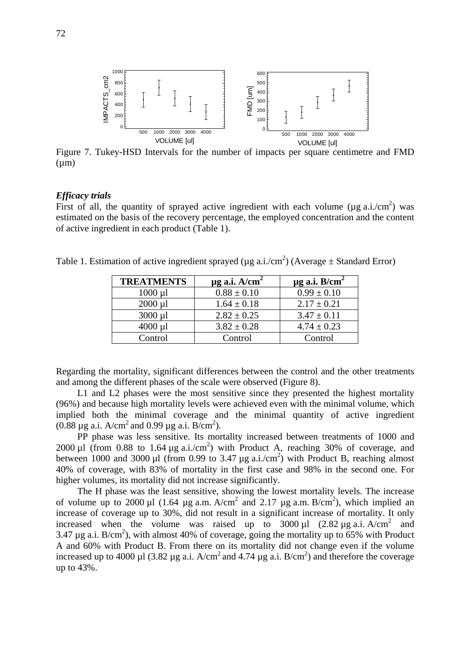

Figure 7. Tukey-HSD Intervals for the number of impacts per square centimetre and FMD  $(\mu m)$ 

#### *Efficacy trials*

First of all, the quantity of sprayed active ingredient with each volume ( $\mu$ g a.i./cm<sup>2</sup>) was estimated on the basis of the recovery percentage, the employed concentration and the content of active ingredient in each product (Table 1).

| Table 1. Estimation of active ingredient sprayed ( $\mu$ g a.i./cm <sup>2</sup> ) (Average $\pm$ Standard Error) |  |
|------------------------------------------------------------------------------------------------------------------|--|
|                                                                                                                  |  |

| <b>TREATMENTS</b> | $\mu$ g a.i. A/cm <sup>2</sup> | $\mu$ g a.i. B/cm <sup>2</sup> |
|-------------------|--------------------------------|--------------------------------|
| $1000 \mu l$      | $0.88 \pm 0.10$                | $0.99 \pm 0.10$                |
| $2000 \mu l$      | $1.64 \pm 0.18$                | $2.17 \pm 0.21$                |
| $3000 \mu l$      | $2.82 \pm 0.25$                | $3.47 \pm 0.11$                |
| $4000 \mu l$      | $3.82 \pm 0.28$                | $4.74 \pm 0.23$                |
| Control           | Control                        | Control                        |

Regarding the mortality, significant differences between the control and the other treatments and among the different phases of the scale were observed (Figure 8).

L1 and L2 phases were the most sensitive since they presented the highest mortality (96%) and because high mortality levels were achieved even with the minimal volume, which implied both the minimal coverage and the minimal quantity of active ingredient  $(0.88 \,\mu g \text{ a.i. A/cm}^2 \text{ and } 0.99 \,\mu g \text{ a.i. B/cm}^2).$ 

PP phase was less sensitive. Its mortality increased between treatments of 1000 and 2000 µl (from 0.88 to 1.64 µg a.i./cm<sup>2</sup>) with Product A, reaching 30% of coverage, and between 1000 and 3000 µl (from 0.99 to 3.47 µg a.i./cm<sup>2</sup>) with Product B, reaching almost 40% of coverage, with 83% of mortality in the first case and 98% in the second one. For higher volumes, its mortality did not increase significantly.

The H phase was the least sensitive, showing the lowest mortality levels. The increase of volume up to 2000 µ1 (1.64 µg a.m. A/cm<sup>2</sup> and 2.17 µg a.m. B/cm<sup>2</sup>), which implied an increase of coverage up to 30%, did not result in a significant increase of mortality. It only increased when the volume was raised up to  $3000 \mu$ l  $(2.82 \mu$ g a.i. A/cm<sup>2</sup> and 3.47  $\mu$ g a.i. B/cm<sup>2</sup>), with almost 40% of coverage, going the mortality up to 65% with Product A and 60% with Product B. From there on its mortality did not change even if the volume increased up to 4000 µl (3.82 µg a.i.  $A/cm^2$  and 4.74 µg a.i.  $B/cm^2$ ) and therefore the coverage up to 43%.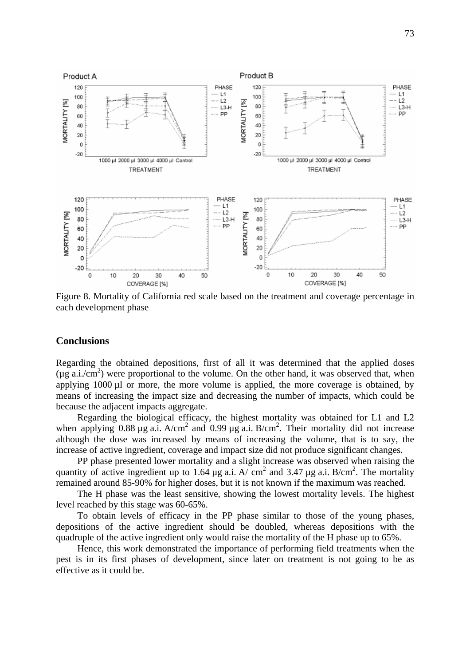

Figure 8. Mortality of California red scale based on the treatment and coverage percentage in each development phase

## **Conclusions**

Regarding the obtained depositions, first of all it was determined that the applied doses  $(\mu g \text{ a.i/cm}^2)$  were proportional to the volume. On the other hand, it was observed that, when applying 1000 µl or more, the more volume is applied, the more coverage is obtained, by means of increasing the impact size and decreasing the number of impacts, which could be because the adjacent impacts aggregate.

Regarding the biological efficacy, the highest mortality was obtained for L1 and L2 when applying 0.88  $\mu$ g a.i. A/cm<sup>2</sup> and 0.99  $\mu$ g a.i. B/cm<sup>2</sup>. Their mortality did not increase although the dose was increased by means of increasing the volume, that is to say, the increase of active ingredient, coverage and impact size did not produce significant changes.

PP phase presented lower mortality and a slight increase was observed when raising the quantity of active ingredient up to 1.64  $\mu$ g a.i. A/ cm<sup>2</sup> and 3.47  $\mu$ g a.i. B/cm<sup>2</sup>. The mortality remained around 85-90% for higher doses, but it is not known if the maximum was reached.

The H phase was the least sensitive, showing the lowest mortality levels. The highest level reached by this stage was 60-65%.

To obtain levels of efficacy in the PP phase similar to those of the young phases, depositions of the active ingredient should be doubled, whereas depositions with the quadruple of the active ingredient only would raise the mortality of the H phase up to 65%.

Hence, this work demonstrated the importance of performing field treatments when the pest is in its first phases of development, since later on treatment is not going to be as effective as it could be.